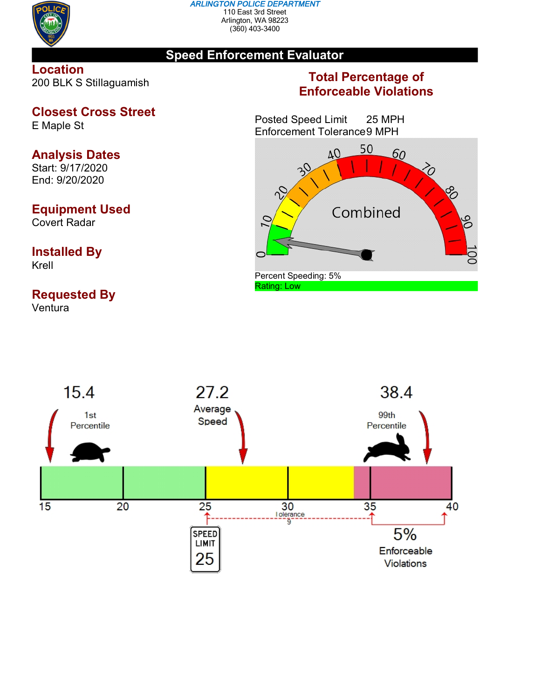

#### *ARLINGTON POLICE DEPARTMENT* 110 East 3rd Street Arlington, WA 98223 (360) 403-3400

## **Speed Enforcement Evaluator**

## **Location** 200 BLK S Stillaguamish

# **Closest Cross Street**

E Maple St

## **Analysis Dates**

Start: 9/17/2020 End: 9/20/2020

## **Equipment Used**

Covert Radar

### **Installed By** Krell

# **Requested By**

Ventura

## **Total Percentage of Enforceable Violations**

Posted Speed Limit 25 MPH Enforcement Tolerance9 MPH